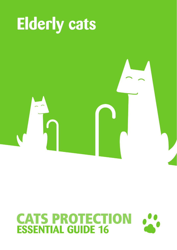

# **CATS PROTECTION**<br>**ESSENTIAL GUIDE 16**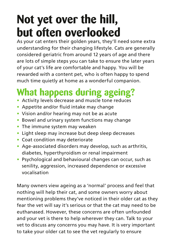## **Not yet over the hill, but often overlooked**

As your cat enters their golden years, they'll need some extra understanding for their changing lifestyle. Cats are generally considered geriatric from around 12 years of age and there are lots of simple steps you can take to ensure the later years of your cat's life are comfortable and happy. You will be rewarded with a content pet, who is often happy to spend much time quietly at home as a wonderful companion.

### **What happens during ageing?**

- **•** Activity levels decrease and muscle tone reduces
- **•** Appetite and/or fluid intake may change
- **•** Vision and/or hearing may not be as acute
- **•** Bowel and urinary system functions may change
- **•** The immune system may weaken
- **•** Light sleep may increase but deep sleep decreases
- **•** Coat condition may deteriorate
- **•** Age-associated disorders may develop, such as arthritis, diabetes, hyperthyroidism or renal impairment
- **•** Psychological and behavioural changes can occur, such as senility, aggression, increased dependence or excessive vocalisation

Many owners view ageing as a 'normal' process and feel that nothing will help their cat, and some owners worry about mentioning problems they've noticed in their older cat as they fear the vet will say it's serious or that the cat may need to be euthanased. However, these concerns are often unfounded and your vet is there to help wherever they can. Talk to your vet to discuss any concerns you may have. It is very important to take your older cat to see the vet regularly to ensure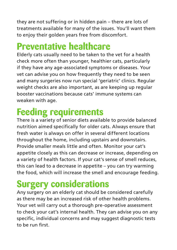they are not suffering or in hidden pain – there are lots of treatments available for many of the issues. You'll want them to enjoy their golden years free from discomfort.

### **Preventative healthcare**

Elderly cats usually need to be taken to the vet for a health check more often than younger, healthier cats, particularly if they have any age-associated symptoms or diseases. Your vet can advise you on how frequently they need to be seen and many surgeries now run special 'geriatric' clinics. Regular weight checks are also important, as are keeping up regular booster vaccinations because cats' immune systems can weaken with age.

### **Feeding requirements**

There is a variety of senior diets available to provide balanced nutrition aimed specifically for older cats. Always ensure that fresh water is always on offer in several different locations throughout the home, including upstairs and downstairs. Provide smaller meals little and often. Monitor your cat's appetite closely as this can decrease or increase, depending on a variety of health factors. If your cat's sense of smell reduces, this can lead to a decrease in appetite – you can try warming the food, which will increase the smell and encourage feeding.

### **Surgery considerations**

Any surgery on an elderly cat should be considered carefully as there may be an increased risk of other health problems. Your vet will carry out a thorough pre-operative assessment to check your cat's internal health. They can advise you on any specific, individual concerns and may suggest diagnostic tests to be run first.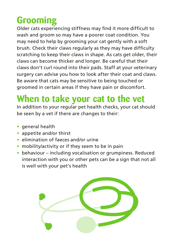### **Grooming**

Older cats experiencing stiffness may find it more difficult to wash and groom so may have a poorer coat condition. You may need to help by grooming your cat gently with a soft brush. Check their claws regularly as they may have difficulty scratching to keep their claws in shape. As cats get older, their claws can become thicker and longer. Be careful that their claws don't curl round into their pads. Staff at your veterinary surgery can advise you how to look after their coat and claws. Be aware that cats may be sensitive to being touched or groomed in certain areas if they have pain or discomfort.

### **When to take your cat to the vet**

In addition to your regular pet health checks, your cat should be seen by a vet if there are changes to their:

- **•** general health
- **•** appetite and/or thirst
- **•** elimination of faeces and/or urine
- **•** mobility/activity or if they seem to be in pain
- **•** behaviour including vocalisation or grumpiness. Reduced interaction with you or other pets can be a sign that not all is well with your pet's health

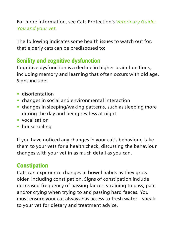#### For more information, see Cats Protection's *Veterinary Guide: You and your vet*.

The following indicates some health issues to watch out for, that elderly cats can be predisposed to:

#### **Senility and cognitive dysfunction**

Cognitive dysfunction is a decline in higher brain functions, including memory and learning that often occurs with old age. Sians include:

- **•** disorientation
- **•** changes in social and environmental interaction
- **•** changes in sleeping/waking patterns, such as sleeping more during the day and being restless at night
- **•** vocalisation
- **•** house soiling

If you have noticed any changes in your cat's behaviour, take them to your vets for a health check, discussing the behaviour changes with your vet in as much detail as you can.

#### **Constipation**

Cats can experience changes in bowel habits as they grow older, including constipation. Signs of constipation include decreased frequency of passing faeces, straining to pass, pain and/or crying when trying to and passing hard faeces. You must ensure your cat always has access to fresh water – speak to your vet for dietary and treatment advice.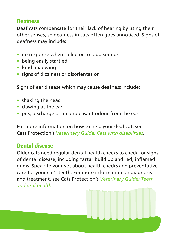#### **Deafness**

Deaf cats compensate for their lack of hearing by using their other senses, so deafness in cats often goes unnoticed. Signs of deafness may include:

- **•** no response when called or to loud sounds
- **•** being easily startled
- **•** loud miaowing
- **•** signs of dizziness or disorientation

Signs of ear disease which may cause deafness include:

- **•** shaking the head
- **•** clawing at the ear
- **•** pus, discharge or an unpleasant odour from the ear

For more information on how to help your deaf cat, see Cats Protection's *Veterinary Guide: Cats with disabilities*.

#### **Dental disease**

Older cats need regular dental health checks to check for signs of dental disease, including tartar build up and red, inflamed gums. Speak to your vet about health checks and preventative care for your cat's teeth. For more information on diagnosis and treatment, see Cats Protection's *Veterinary Guide: Teeth and oral health*.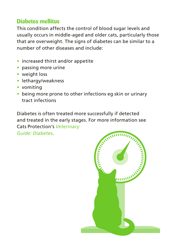#### **Diabetes mellitus**

This condition affects the control of blood sugar levels and usually occurs in middle-aged and older cats, particularly those that are overweight. The signs of diabetes can be similar to a number of other diseases and include:

- **•** increased thirst and/or appetite
- **•** passing more urine
- **•** weight loss
- **•** lethargy/weakness
- **•** vomiting
- **•** being more prone to other infections eg skin or urinary tract infections

Diabetes is often treated more successfully if detected and treated in the early stages. For more information see Cats Protection's *Veterinary* 

*Guide: Diabetes*.

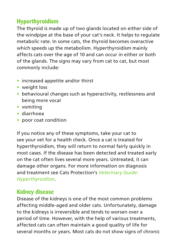#### **Hyperthyroidism**

The thyroid is made up of two glands located on either side of the windpipe at the base of your cat's neck. It helps to regulate metabolic rate. In some cats, the thyroid becomes overactive which speeds up the metabolism. Hyperthyroidism mainly affects cats over the age of 10 and can occur in either or both of the glands. The signs may vary from cat to cat, but most commonly include:

- **•** increased appetite and/or thirst
- **•** weight loss
- **•** behavioural changes such as hyperactivity, restlessness and being more vocal
- **•** vomiting
- **•** diarrhoea
- **•** poor coat condition

If you notice any of these symptoms, take your cat to see your vet for a health check. Once a cat is treated for hyperthyroidism, they will return to normal fairly quickly in most cases. If the disease has been detected and treated early on the cat often lives several more years. Untreated, it can damage other organs. For more information on diagnosis and treatment see Cats Protection's *Veterinary Guide: Hyperthyroidism*.

#### **Kidney disease**

Disease of the kidneys is one of the most common problems affecting middle-aged and older cats. Unfortunately, damage to the kidneys is irreversible and tends to worsen over a period of time. However, with the help of various treatments, affected cats can often maintain a good quality of life for several months or years. Most cats do not show signs of chronic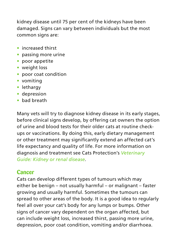kidney disease until 75 per cent of the kidneys have been damaged. Signs can vary between individuals but the most common signs are:

- **•** increased thirst
- **•** passing more urine
- **•** poor appetite
- **•** weight loss
- **•** poor coat condition
- **•** vomiting
- **•** lethargy
- **•** depression
- **•** bad breath

Many vets will try to diagnose kidney disease in its early stages, before clinical signs develop, by offering cat owners the option of urine and blood tests for their older cats at routine checkups or vaccinations. By doing this, early dietary management or other treatment may significantly extend an affected cat's life expectancy and quality of life. For more information on diagnosis and treatment see Cats Protection's *Veterinary Guide: Kidney or renal disease*.

#### **Cancer**

Cats can develop different types of tumours which may either be benign – not usually harmful – or malignant – faster growing and usually harmful. Sometimes the tumours can spread to other areas of the body. It is a good idea to regularly feel all over your cat's body for any lumps or bumps. Other signs of cancer vary dependent on the organ affected, but can include weight loss, increased thirst, passing more urine, depression, poor coat condition, vomiting and/or diarrhoea.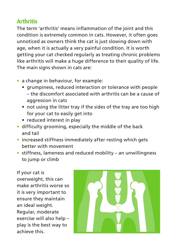#### **Arthritis**

The term 'arthritis' means inflammation of the joint and this condition is extremely common in cats. However, it often goes unnoticed as owners think the cat is just slowing down with age, when it is actually a very painful condition. It is worth getting your cat checked regularly as treating chronic problems like arthritis will make a huge difference to their quality of life. The main signs shown in cats are:

- **•** a change in behaviour, for example:
	- grumpiness, reduced interaction or tolerance with people – the discomfort associated with arthritis can be a cause of aggression in cats
	- not using the litter tray if the sides of the tray are too high for your cat to easily get into
	- reduced interest in play
- **•** difficulty grooming, especially the middle of the back and tail
- **•** increased stiffness immediately after resting which gets better with movement
- **•** stiffness, lameness and reduced mobility an unwillingness to jump or climb

If your cat is overweight, this can make arthritis worse so it is very important to ensure they maintain an ideal weight. Regular, moderate exercise will also help – play is the best way to achieve this.

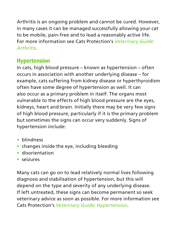Arthritis is an ongoing problem and cannot be cured. However, in many cases it can be managed successfully allowing your cat to be mobile, pain-free and to lead a reasonably active life. For more information see Cats Protection's *Veterinary Guide: Arthritis*.

#### **Hypertension**

In cats, high blood pressure – known as hypertension – often occurs in association with another underlying disease – for example, cats suffering from kidney disease or hyperthyroidism often have some degree of hypertension as well. It can also occur as a primary problem in itself. The organs most vulnerable to the effects of high blood pressure are the eyes, kidneys, heart and brain. Initially there may be very few signs of high blood pressure, particularly if it is the primary problem but sometimes the signs can occur very suddenly. Signs of hypertension include:

- **•** blindness
- **•** changes inside the eye, including bleeding
- **•** disorientation
- **•** seizures

Many cats can go on to lead relatively normal lives following diagnosis and stabilisation of hypertension, but this will depend on the type and severity of any underlying disease. If left untreated, these signs can become permanent so seek veterinary advice as soon as possible. For more information see Cats Protection's *Veterinary Guide: Hypertension*.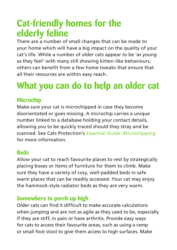### **Cat-friendly homes for the elderly feline**

There are a number of small changes that can be made to your home which will have a big impact on the quality of your cat's life. While a number of older cats appear to be 'as young as they feel' with many still showing kitten-like behaviours, others can benefit from a few home tweaks that ensure that all their resources are within easy reach.

### **What you can do to help an older cat**

#### **Microchip**

Make sure your cat is microchipped in case they become disorientated or goes missing. A microchip carries a unique number linked to a database holding your contact details, allowing you to be quickly traced should they stray and be scanned. See Cats Protection's *Essential Guide: Microchipping* for more information.

#### **Beds**

Allow your cat to reach favourite places to rest by strategically placing boxes or items of furniture for them to climb. Make sure they have a variety of cosy, well-padded beds in safe warm places that can be readily accessed. Your cat may enjoy the hammock-style radiator beds as they are very warm.

#### **Somewhere to perch up high**

Older cats can find it difficult to make accurate calculations when jumping and are not as agile as they used to be, especially if they are stiff, in pain or have arthritis. Provide easy ways for cats to access their favourite areas, such as using a ramp or small foot stool to give them access to high surfaces. Make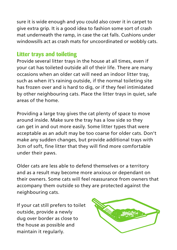sure it is wide enough and you could also cover it in carpet to give extra grip. It is a good idea to fashion some sort of crash mat underneath the ramp, in case the cat falls. Cushions under windowsills act as crash mats for uncoordinated or wobbly cats.

#### **Litter trays and toileting**

Provide several litter trays in the house at all times, even if your cat has toileted outside all of their life. There are many occasions when an older cat will need an indoor litter tray, such as when it's raining outside, if the normal toileting site has frozen over and is hard to dig, or if they feel intimidated by other neighbouring cats. Place the litter trays in quiet, safe areas of the home.

Providing a large tray gives the cat plenty of space to move around inside. Make sure the tray has a low side so they can get in and out more easily. Some litter types that were acceptable as an adult may be too coarse for older cats. Don't make any sudden changes, but provide additional trays with 3cm of soft, fine litter that they will find more comfortable under their paws.

Older cats are less able to defend themselves or a territory and as a result may become more anxious or dependant on their owners. Some cats will feel reassurance from owners that accompany them outside so they are protected against the neighbouring cats.

If your cat still prefers to toilet outside, provide a newly dug over border as close to the house as possible and maintain it regularly.

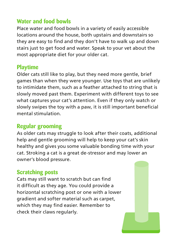#### **Water and food bowls**

Place water and food bowls in a variety of easily accessible locations around the house, both upstairs and downstairs so they are easy to find and they don't have to walk up and down stairs just to get food and water. Speak to your vet about the most appropriate diet for your older cat.

#### **Playtime**

Older cats still like to play, but they need more gentle, brief games than when they were younger. Use toys that are unlikely to intimidate them, such as a feather attached to string that is slowly moved past them. Experiment with different toys to see what captures your cat's attention. Even if they only watch or slowly swipes the toy with a paw, it is still important beneficial mental stimulation.

#### **Regular grooming**

As older cats may struggle to look after their coats, additional help and gentle grooming will help to keep your cat's skin healthy and gives you some valuable bonding time with your cat. Stroking a cat is a great de-stressor and may lower an owner's blood pressure.

#### **Scratching posts**

Cats may still want to scratch but can find it difficult as they age. You could provide a horizontal scratching post or one with a lower gradient and softer material such as carpet, which they may find easier. Remember to check their claws regularly.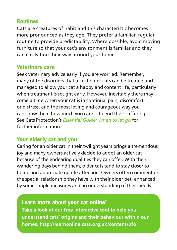#### **Routines**

Cats are creatures of habit and this characteristic becomes more pronounced as they age. They prefer a familiar, regular routine to provide predictability. Where possible, avoid moving furniture so that your cat's environment is familiar and they can easily find their way around your home.

#### **Veterinary care**

Seek veterinary advice early if you are worried. Remember, many of the disorders that affect older cats can be treated and managed to allow your cat a happy and content life, particularly when treatment is sought early. However, inevitably there may come a time when your cat is in continual pain, discomfort or distress, and the most loving and courageous way you can show them how much you care is to end their suffering. See Cats Protection's *Essential Guide: When to let go* for further information.

#### **Your elderly cat and you**

Caring for an older cat in their twilight years brings a tremendous joy and many owners actively decide to adopt an older cat because of the endearing qualities they can offer. With their wandering days behind them, older cats tend to stay closer to home and appreciate gentle affection. Owners often comment on the special relationship they have with their older pet, enhanced by some simple measures and an understanding of their needs.

#### **Learn more about your cat online!**

**Take a look at our free interactive tool to help you understand cats' origins and their behaviour within our homes. http://learnonline.cats.org.uk/content/ufo**